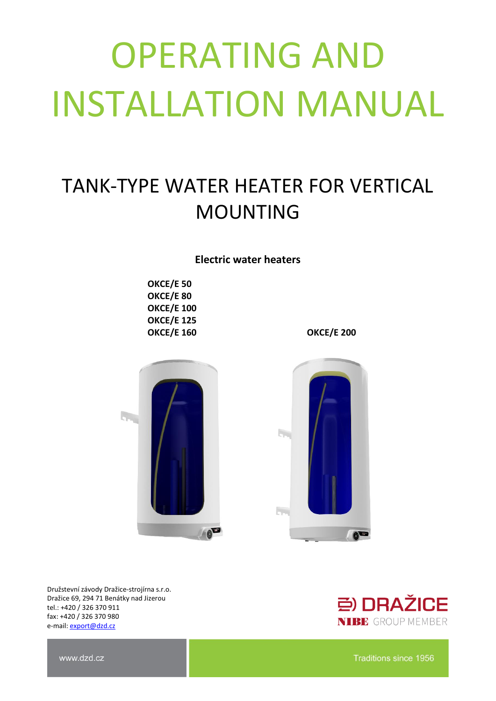# OPERATING AND INSTALLATION MANUAL

## TANK-TYPE WATER HEATER FOR VERTICAL MOUNTING

**Electric water heaters**

**OKCE/E 50 OKCE/E 80 OKCE/E 100 OKCE/E 125 OKCE/E 160 OKCE/E 200**





Družstevní závody Dražice-strojírna s.r.o. Dražice 69, 294 71 Benátky nad Jizerou tel.: +420 / 326 370 911 fax: +420 / 326 370 980 e-mail: [export@dzd.cz](mailto:export@dzd.cz)



www.dzd.cz

Traditions since 1956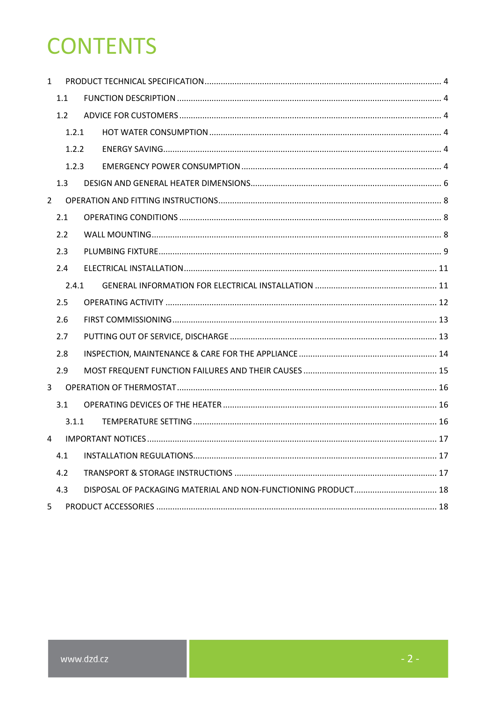## **CONTENTS**

| $\mathbf{1}$   |       |       |  |  |  |
|----------------|-------|-------|--|--|--|
|                | 1.1   |       |  |  |  |
|                | 1.2   |       |  |  |  |
|                |       | 1.2.1 |  |  |  |
|                |       | 1.2.2 |  |  |  |
|                |       | 1.2.3 |  |  |  |
|                | 1.3   |       |  |  |  |
| $\overline{2}$ |       |       |  |  |  |
|                | 2.1   |       |  |  |  |
|                | 2.2   |       |  |  |  |
|                | 2.3   |       |  |  |  |
|                | 2.4   |       |  |  |  |
|                | 2.4.1 |       |  |  |  |
|                | 2.5   |       |  |  |  |
|                | 2.6   |       |  |  |  |
|                | 2.7   |       |  |  |  |
|                | 2.8   |       |  |  |  |
|                | 2.9   |       |  |  |  |
| 3              |       |       |  |  |  |
|                | 3.1   |       |  |  |  |
|                |       | 3.1.1 |  |  |  |
| 4              |       |       |  |  |  |
|                | 4.1   |       |  |  |  |
|                | 4.2   |       |  |  |  |
|                | 4.3   |       |  |  |  |
| 5              |       |       |  |  |  |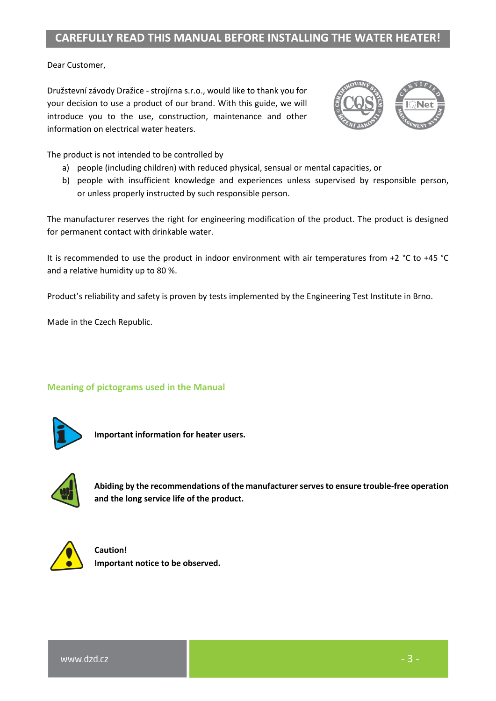### **CAREFULLY READ THIS MANUAL BEFORE INSTALLING THE WATER HEATER!**

Dear Customer,

Družstevní závody Dražice - strojírna s.r.o., would like to thank you for your decision to use a product of our brand. With this guide, we will introduce you to the use, construction, maintenance and other information on electrical water heaters.



The product is not intended to be controlled by

- a) people (including children) with reduced physical, sensual or mental capacities, or
- b) people with insufficient knowledge and experiences unless supervised by responsible person, or unless properly instructed by such responsible person.

The manufacturer reserves the right for engineering modification of the product. The product is designed for permanent contact with drinkable water.

It is recommended to use the product in indoor environment with air temperatures from +2 °C to +45 °C and a relative humidity up to 80 %.

Product's reliability and safety is proven by tests implemented by the Engineering Test Institute in Brno.

Made in the Czech Republic.

**Meaning of pictograms used in the Manual**



**Important information for heater users.**



**Abiding by the recommendations of the manufacturer serves to ensure trouble-free operation and the long service life of the product.**



**Caution! Important notice to be observed.**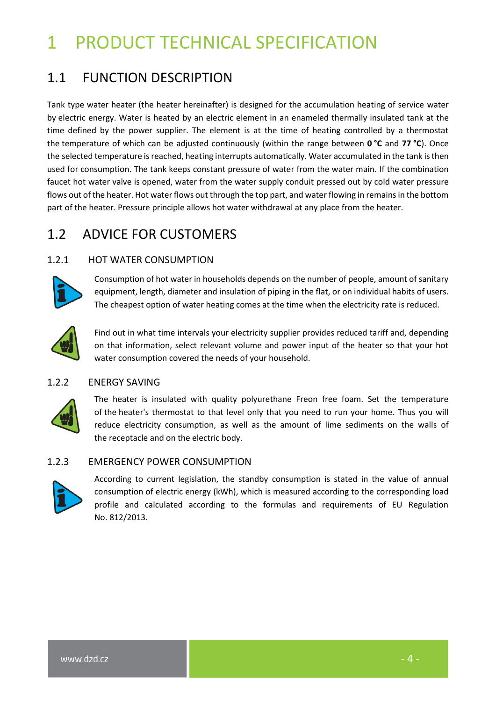## <span id="page-3-0"></span>1 PRODUCT TECHNICAL SPECIFICATION

## <span id="page-3-1"></span>1.1 FUNCTION DESCRIPTION

Tank type water heater (the heater hereinafter) is designed for the accumulation heating of service water by electric energy. Water is heated by an electric element in an enameled thermally insulated tank at the time defined by the power supplier. The element is at the time of heating controlled by a thermostat the temperature of which can be adjusted continuously (within the range between **0 °C** and **77 °C**). Once the selected temperature is reached, heating interrupts automatically. Water accumulated in the tank is then used for consumption. The tank keeps constant pressure of water from the water main. If the combination faucet hot water valve is opened, water from the water supply conduit pressed out by cold water pressure flows out of the heater. Hot water flows out through the top part, and water flowing in remains in the bottom part of the heater. Pressure principle allows hot water withdrawal at any place from the heater.

## <span id="page-3-2"></span>1.2 ADVICE FOR CUSTOMERS

#### <span id="page-3-3"></span>1.2.1 HOT WATER CONSUMPTION



Consumption of hot water in households depends on the number of people, amount of sanitary equipment, length, diameter and insulation of piping in the flat, or on individual habits of users. The cheapest option of water heating comes at the time when the electricity rate is reduced.



Find out in what time intervals your electricity supplier provides reduced tariff and, depending on that information, select relevant volume and power input of the heater so that your hot water consumption covered the needs of your household.

#### <span id="page-3-4"></span>1.2.2 ENERGY SAVING



The heater is insulated with quality polyurethane Freon free foam. Set the temperature of the heater's thermostat to that level only that you need to run your home. Thus you will reduce electricity consumption, as well as the amount of lime sediments on the walls of the receptacle and on the electric body.

#### <span id="page-3-5"></span>1.2.3 EMERGENCY POWER CONSUMPTION



According to current legislation, the standby consumption is stated in the value of annual consumption of electric energy (kWh), which is measured according to the corresponding load profile and calculated according to the formulas and requirements of EU Regulation No. 812/2013.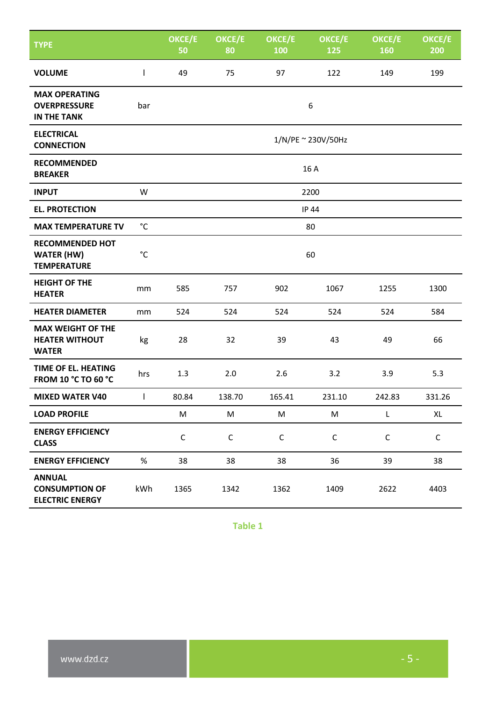| <b>TYPE</b>                                                       |              | OKCE/E<br>50       | OKCE/E<br>80 | OKCE/E<br>100 | OKCE/E<br>125 | OKCE/E<br>160 | OKCE/E<br>200 |
|-------------------------------------------------------------------|--------------|--------------------|--------------|---------------|---------------|---------------|---------------|
| <b>VOLUME</b>                                                     | $\mathsf{I}$ | 49                 | 75           | 97            | 122           | 149           | 199           |
| <b>MAX OPERATING</b><br><b>OVERPRESSURE</b><br><b>IN THE TANK</b> | bar          | 6                  |              |               |               |               |               |
| <b>ELECTRICAL</b><br><b>CONNECTION</b>                            |              | 1/N/PE ~ 230V/50Hz |              |               |               |               |               |
| <b>RECOMMENDED</b><br><b>BREAKER</b>                              |              | 16 A               |              |               |               |               |               |
| <b>INPUT</b>                                                      | W            | 2200               |              |               |               |               |               |
| <b>EL. PROTECTION</b>                                             |              | IP 44              |              |               |               |               |               |
| <b>MAX TEMPERATURE TV</b>                                         | $^{\circ}$ C | 80                 |              |               |               |               |               |
| <b>RECOMMENDED HOT</b><br><b>WATER (HW)</b><br><b>TEMPERATURE</b> | $^{\circ}$ C | 60                 |              |               |               |               |               |
| <b>HEIGHT OF THE</b><br><b>HEATER</b>                             | mm           | 585                | 757          | 902           | 1067          | 1255          | 1300          |
| <b>HEATER DIAMETER</b>                                            | mm           | 524                | 524          | 524           | 524           | 524           | 584           |
| <b>MAX WEIGHT OF THE</b><br><b>HEATER WITHOUT</b><br><b>WATER</b> | kg           | 28                 | 32           | 39            | 43            | 49            | 66            |
| <b>TIME OF EL. HEATING</b><br><b>FROM 10 °C TO 60 °C</b>          | hrs          | 1.3                | 2.0          | 2.6           | 3.2           | 3.9           | 5.3           |
| <b>MIXED WATER V40</b>                                            | $\mathbf{I}$ | 80.84              | 138.70       | 165.41        | 231.10        | 242.83        | 331.26        |
| <b>LOAD PROFILE</b>                                               |              | M                  | M            | M             | M             | L             | XL            |
| <b>ENERGY EFFICIENCY</b><br><b>CLASS</b>                          |              | $\mathsf C$        | $\mathsf C$  | $\mathsf C$   | $\mathsf{C}$  | $\mathsf C$   | С             |
| <b>ENERGY EFFICIENCY</b>                                          | $\%$         | 38                 | 38           | 38            | 36            | 39            | 38            |
| <b>ANNUAL</b><br><b>CONSUMPTION OF</b><br><b>ELECTRIC ENERGY</b>  | kWh          | 1365               | 1342         | 1362          | 1409          | 2622          | 4403          |

**Table 1**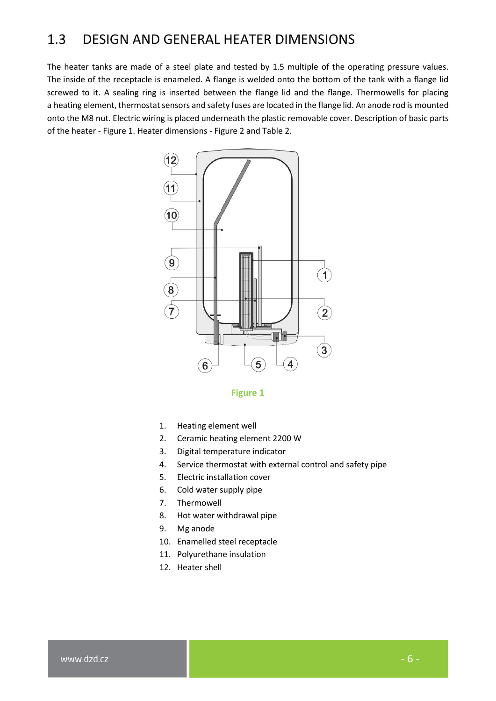### <span id="page-5-0"></span>1.3 DESIGN AND GENERAL HEATER DIMENSIONS

The heater tanks are made of a steel plate and tested by 1.5 multiple of the operating pressure values. The inside of the receptacle is enameled. A flange is welded onto the bottom of the tank with a flange lid screwed to it. A sealing ring is inserted between the flange lid and the flange. Thermowells for placing a heating element, thermostat sensors and safety fuses are located in the flange lid. An anode rod is mounted onto the M8 nut. Electric wiring is placed underneath the plastic removable cover. Description of basic parts of the heater - [Figure 1.](#page-5-1) Heater dimensions - [Figure 2](#page-6-0) and [Table 2.](#page-6-1)



**Figure 1**

- <span id="page-5-1"></span>1. Heating element well
- 2. Ceramic heating element 2200 W
- 3. Digital temperature indicator
- 4. Service thermostat with external control and safety pipe
- 5. Electric installation cover
- 6. Cold water supply pipe
- 7. Thermowell
- 8. Hot water withdrawal pipe
- 9. Mg anode
- 10. Enamelled steel receptacle
- 11. Polyurethane insulation
- 12. Heater shell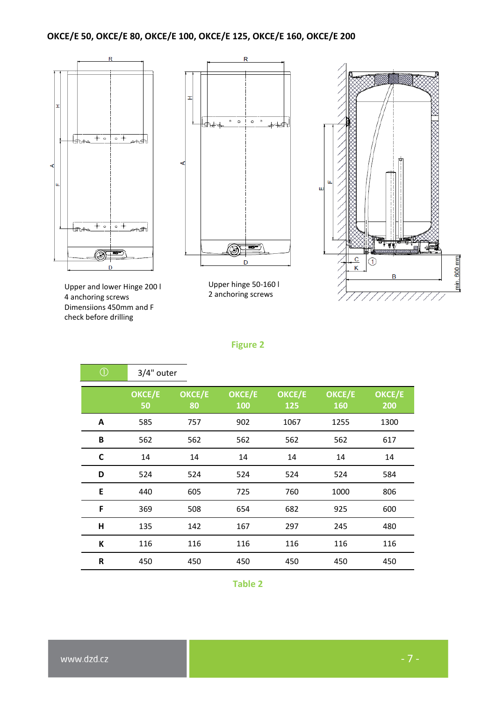#### **OKCE/E 50, OKCE/E 80, OKCE/E 100, OKCE/E 125, OKCE/E 160, OKCE/E 200**







Upper hinge 50-160 l 2 anchoring screws



#### **Figure 2**

<span id="page-6-0"></span>

| $\bigcirc$   | 3/4" outer   |              |               |               |                      |               |
|--------------|--------------|--------------|---------------|---------------|----------------------|---------------|
|              | OKCE/E<br>50 | OKCE/E<br>80 | OKCE/E<br>100 | OKCE/E<br>125 | OKCE/E<br><b>160</b> | OKCE/E<br>200 |
| A            | 585          | 757          | 902           | 1067          | 1255                 | 1300          |
| B            | 562          | 562          | 562           | 562           | 562                  | 617           |
| $\mathsf{C}$ | 14           | 14           | 14            | 14            | 14                   | 14            |
| D            | 524          | 524          | 524           | 524           | 524                  | 584           |
| E            | 440          | 605          | 725           | 760           | 1000                 | 806           |
| F            | 369          | 508          | 654           | 682           | 925                  | 600           |
| н            | 135          | 142          | 167           | 297           | 245                  | 480           |
| К            | 116          | 116          | 116           | 116           | 116                  | 116           |
| R            | 450          | 450          | 450           | 450           | 450                  | 450           |

<span id="page-6-1"></span>**Table 2**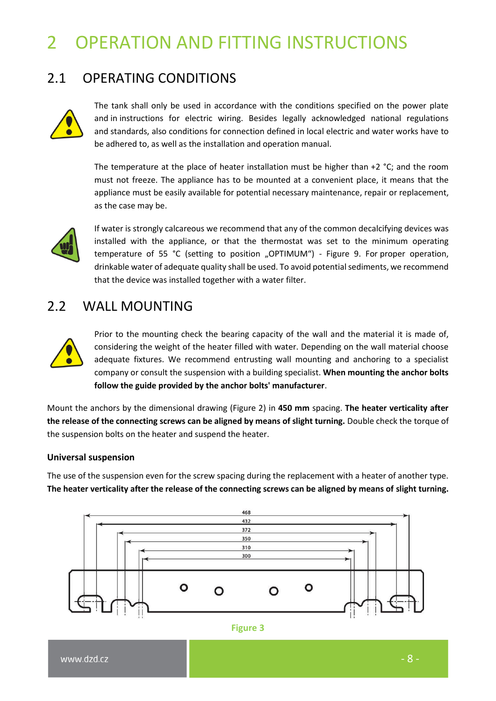## <span id="page-7-0"></span>2 OPERATION AND FITTING INSTRUCTIONS

### <span id="page-7-1"></span>2.1 OPERATING CONDITIONS



The tank shall only be used in accordance with the conditions specified on the power plate and in instructions for electric wiring. Besides legally acknowledged national regulations and standards, also conditions for connection defined in local electric and water works have to be adhered to, as well as the installation and operation manual.

The temperature at the place of heater installation must be higher than  $+2$  °C; and the room must not freeze. The appliance has to be mounted at a convenient place, it means that the appliance must be easily available for potential necessary maintenance, repair or replacement, as the case may be.



If water is strongly calcareous we recommend that any of the common decalcifying devices was installed with the appliance, or that the thermostat was set to the minimum operating temperature of 55 °C (setting to position "OPTIMUM") - [Figure 9.](#page-15-3) For proper operation, drinkable water of adequate quality shall be used. To avoid potential sediments, we recommend that the device was installed together with a water filter.

### <span id="page-7-2"></span>2.2 WALL MOUNTING



Prior to the mounting check the bearing capacity of the wall and the material it is made of, considering the weight of the heater filled with water. Depending on the wall material choose adequate fixtures. We recommend entrusting wall mounting and anchoring to a specialist company or consult the suspension with a building specialist. **When mounting the anchor bolts follow the guide provided by the anchor bolts' manufacturer**.

Mount the anchors by the dimensional drawing [\(Figure 2\)](#page-6-0) in **450 mm** spacing. **The heater verticality after the release of the connecting screws can be aligned by means of slight turning.** Double check the torque of the suspension bolts on the heater and suspend the heater.

#### **Universal suspension**

The use of the suspension even for the screw spacing during the replacement with a heater of another type. **The heater verticality after the release of the connecting screws can be aligned by means of slight turning.**

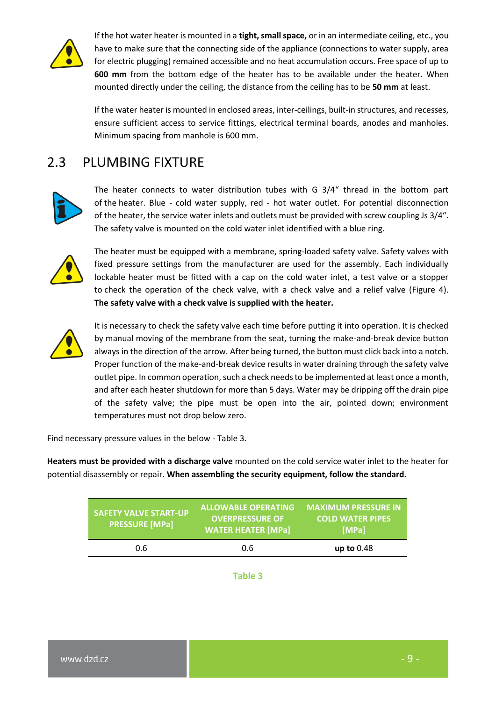

If the hot water heater is mounted in a **tight, small space,** or in an intermediate ceiling, etc., you have to make sure that the connecting side of the appliance (connections to water supply, area for electric plugging) remained accessible and no heat accumulation occurs. Free space of up to **600 mm** from the bottom edge of the heater has to be available under the heater. When mounted directly under the ceiling, the distance from the ceiling has to be **50 mm** at least.

If the water heater is mounted in enclosed areas, inter-ceilings, built-in structures, and recesses, ensure sufficient access to service fittings, electrical terminal boards, anodes and manholes. Minimum spacing from manhole is 600 mm.

### <span id="page-8-0"></span>2.3 PLUMBING FIXTURE



The heater connects to water distribution tubes with G 3/4" thread in the bottom part of the heater. Blue - cold water supply, red - hot water outlet. For potential disconnection of the heater, the service water inlets and outlets must be provided with screw coupling Js 3/4". The safety valve is mounted on the cold water inlet identified with a blue ring.



The heater must be equipped with a membrane, spring-loaded safety valve. Safety valves with fixed pressure settings from the manufacturer are used for the assembly. Each individually lockable heater must be fitted with a cap on the cold water inlet, a test valve or a stopper to check the operation of the check valve, with a check valve and a relief valve [\(Figure 4\)](#page-9-0). **The safety valve with a check valve is supplied with the heater.**



It is necessary to check the safety valve each time before putting it into operation. It is checked by manual moving of the membrane from the seat, turning the make-and-break device button always in the direction of the arrow. After being turned, the button must click back into a notch. Proper function of the make-and-break device results in water draining through the safety valve outlet pipe. In common operation, such a check needs to be implemented at least once a month, and after each heater shutdown for more than 5 days. Water may be dripping off the drain pipe of the safety valve; the pipe must be open into the air, pointed down; environment temperatures must not drop below zero.

Find necessary pressure values in the below - [Table 3.](#page-8-1)

**Heaters must be provided with a discharge valve** mounted on the cold service water inlet to the heater for potential disassembly or repair. **When assembling the security equipment, follow the standard.**

<span id="page-8-1"></span>

| <b>SAFETY VALVE START-UP</b><br><b>PRESSURE [MPa]</b> | <b>ALLOWABLE OPERATING</b><br><b>OVERPRESSURE OF</b><br><b>WATER HEATER [MPa]</b> | <b>MAXIMUM PRESSURE IN</b><br><b>COLD WATER PIPES</b><br>[MPa] |  |
|-------------------------------------------------------|-----------------------------------------------------------------------------------|----------------------------------------------------------------|--|
| 0.6                                                   | 0.6                                                                               | up to $0.48$                                                   |  |

**Table 3**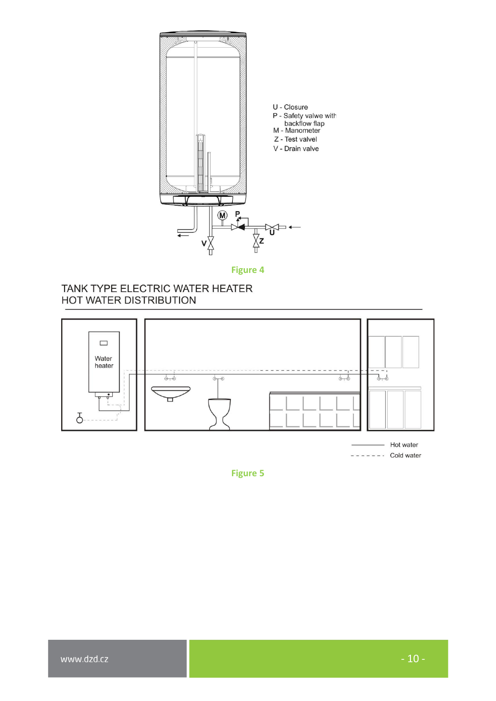

**Figure 4**

#### <span id="page-9-0"></span>TANK TYPE ELECTRIC WATER HEATER HOT WATER DISTRIBUTION



 $------$  Cold water

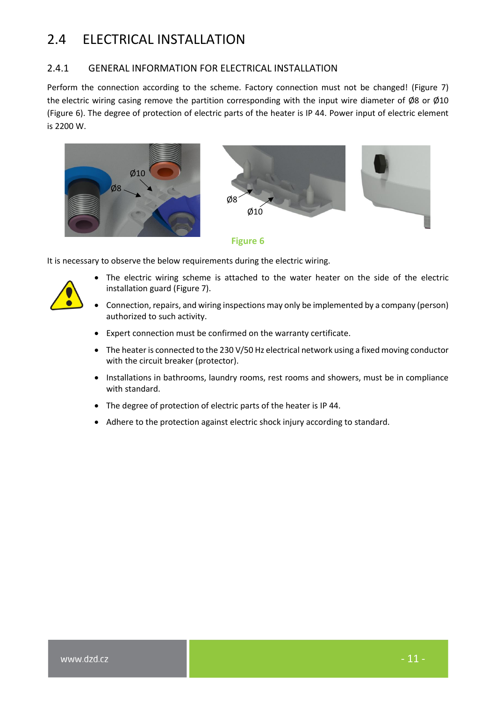## <span id="page-10-0"></span>2.4 ELECTRICAL INSTALLATION

#### <span id="page-10-1"></span>2.4.1 GENERAL INFORMATION FOR ELECTRICAL INSTALLATION

Perform the connection according to the scheme. Factory connection must not be changed! [\(Figure 7\)](#page-11-1) the electric wiring casing remove the partition corresponding with the input wire diameter of Ø8 or Ø10 [\(Figure 6\)](#page-10-2). The degree of protection of electric parts of the heater is IP 44. Power input of electric element is 2200 W.



<span id="page-10-2"></span>It is necessary to observe the below requirements during the electric wiring.

- The electric wiring scheme is attached to the water heater on the side of the electric installation guard [\(Figure 7\)](#page-11-1).
- Connection, repairs, and wiring inspections may only be implemented by a company (person) authorized to such activity.
- Expert connection must be confirmed on the warranty certificate.
- The heater is connected to the 230 V/50 Hz electrical network using a fixed moving conductor with the circuit breaker (protector).
- Installations in bathrooms, laundry rooms, rest rooms and showers, must be in compliance with standard.
- The degree of protection of electric parts of the heater is IP 44.
- Adhere to the protection against electric shock injury according to standard.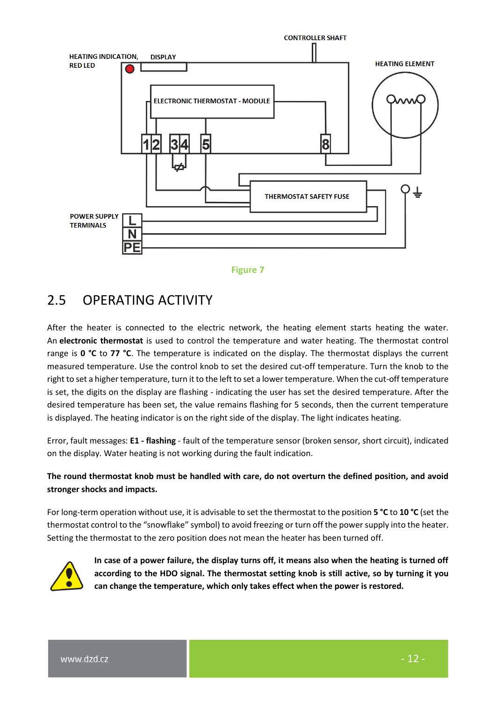



### <span id="page-11-1"></span><span id="page-11-0"></span>2.5 OPERATING ACTIVITY

After the heater is connected to the electric network, the heating element starts heating the water. An **electronic thermostat** is used to control the temperature and water heating. The thermostat control range is **0 °C** to **77 °C**. The temperature is indicated on the display. The thermostat displays the current measured temperature. Use the control knob to set the desired cut-off temperature. Turn the knob to the right to set a higher temperature, turn it to the left to set a lower temperature. When the cut-off temperature is set, the digits on the display are flashing - indicating the user has set the desired temperature. After the desired temperature has been set, the value remains flashing for 5 seconds, then the current temperature is displayed. The heating indicator is on the right side of the display. The light indicates heating.

Error, fault messages: **E1 - flashing** - fault of the temperature sensor (broken sensor, short circuit), indicated on the display. Water heating is not working during the fault indication.

#### **The round thermostat knob must be handled with care, do not overturn the defined position, and avoid stronger shocks and impacts.**

For long-term operation without use, it is advisable to set the thermostat to the position **5 °C** to **10 °C** (set the thermostat control to the "snowflake" symbol) to avoid freezing or turn off the power supply into the heater. Setting the thermostat to the zero position does not mean the heater has been turned off.



**In case of a power failure, the display turns off, it means also when the heating is turned off according to the HDO signal. The thermostat setting knob is still active, so by turning it you can change the temperature, which only takes effect when the power is restored.**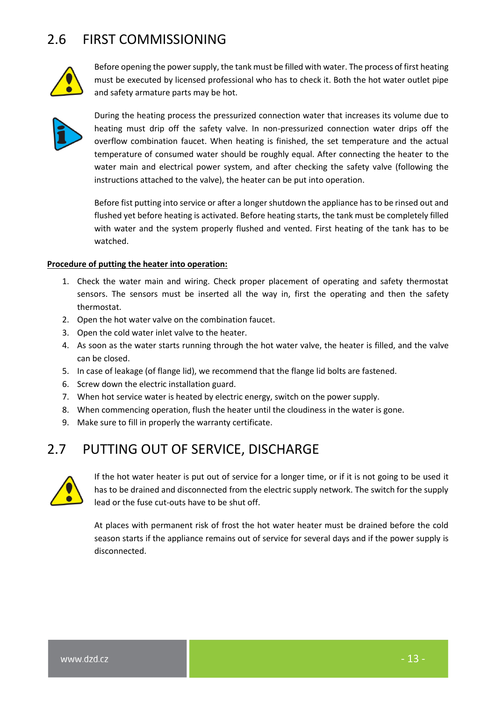## <span id="page-12-0"></span>2.6 FIRST COMMISSIONING



Before opening the power supply, the tank must be filled with water. The process of first heating must be executed by licensed professional who has to check it. Both the hot water outlet pipe and safety armature parts may be hot.



During the heating process the pressurized connection water that increases its volume due to heating must drip off the safety valve. In non-pressurized connection water drips off the overflow combination faucet. When heating is finished, the set temperature and the actual temperature of consumed water should be roughly equal. After connecting the heater to the water main and electrical power system, and after checking the safety valve (following the instructions attached to the valve), the heater can be put into operation.

Before fist putting into service or after a longer shutdown the appliance has to be rinsed out and flushed yet before heating is activated. Before heating starts, the tank must be completely filled with water and the system properly flushed and vented. First heating of the tank has to be watched.

#### **Procedure of putting the heater into operation:**

- 1. Check the water main and wiring. Check proper placement of operating and safety thermostat sensors. The sensors must be inserted all the way in, first the operating and then the safety thermostat.
- 2. Open the hot water valve on the combination faucet.
- 3. Open the cold water inlet valve to the heater.
- 4. As soon as the water starts running through the hot water valve, the heater is filled, and the valve can be closed.
- 5. In case of leakage (of flange lid), we recommend that the flange lid bolts are fastened.
- 6. Screw down the electric installation guard.
- 7. When hot service water is heated by electric energy, switch on the power supply.
- 8. When commencing operation, flush the heater until the cloudiness in the water is gone.
- 9. Make sure to fill in properly the warranty certificate.

### <span id="page-12-1"></span>2.7 PUTTING OUT OF SERVICE, DISCHARGE



If the hot water heater is put out of service for a longer time, or if it is not going to be used it has to be drained and disconnected from the electric supply network. The switch for the supply lead or the fuse cut-outs have to be shut off.

At places with permanent risk of frost the hot water heater must be drained before the cold season starts if the appliance remains out of service for several days and if the power supply is disconnected.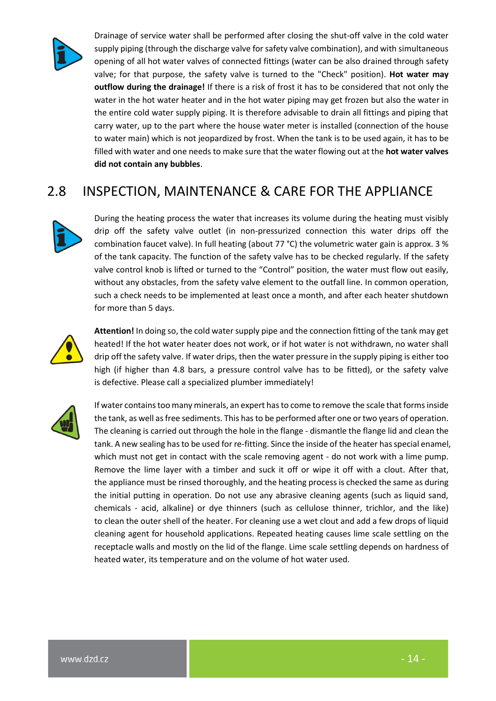

Drainage of service water shall be performed after closing the shut-off valve in the cold water supply piping (through the discharge valve for safety valve combination), and with simultaneous opening of all hot water valves of connected fittings (water can be also drained through safety valve; for that purpose, the safety valve is turned to the "Check" position). **Hot water may outflow during the drainage!** If there is a risk of frost it has to be considered that not only the water in the hot water heater and in the hot water piping may get frozen but also the water in the entire cold water supply piping. It is therefore advisable to drain all fittings and piping that carry water, up to the part where the house water meter is installed (connection of the house to water main) which is not jeopardized by frost. When the tank is to be used again, it has to be filled with water and one needs to make sure that the water flowing out at the **hot water valves did not contain any bubbles**.

## <span id="page-13-0"></span>2.8 INSPECTION, MAINTENANCE & CARE FOR THE APPLIANCE



During the heating process the water that increases its volume during the heating must visibly drip off the safety valve outlet (in non-pressurized connection this water drips off the combination faucet valve). In full heating (about 77 °C) the volumetric water gain is approx. 3 % of the tank capacity. The function of the safety valve has to be checked regularly. If the safety valve control knob is lifted or turned to the "Control" position, the water must flow out easily, without any obstacles, from the safety valve element to the outfall line. In common operation, such a check needs to be implemented at least once a month, and after each heater shutdown for more than 5 days.



**Attention!** In doing so, the cold water supply pipe and the connection fitting of the tank may get heated! If the hot water heater does not work, or if hot water is not withdrawn, no water shall drip off the safety valve. If water drips, then the water pressure in the supply piping is either too high (if higher than 4.8 bars, a pressure control valve has to be fitted), or the safety valve is defective. Please call a specialized plumber immediately!



If water contains too many minerals, an expert has to come to remove the scale that forms inside the tank, as well as free sediments. This has to be performed after one or two years of operation. The cleaning is carried out through the hole in the flange - dismantle the flange lid and clean the tank. A new sealing has to be used for re-fitting. Since the inside of the heater has special enamel, which must not get in contact with the scale removing agent - do not work with a lime pump. Remove the lime layer with a timber and suck it off or wipe it off with a clout. After that, the appliance must be rinsed thoroughly, and the heating process is checked the same as during the initial putting in operation. Do not use any abrasive cleaning agents (such as liquid sand, chemicals - acid, alkaline) or dye thinners (such as cellulose thinner, trichlor, and the like) to clean the outer shell of the heater. For cleaning use a wet clout and add a few drops of liquid cleaning agent for household applications. Repeated heating causes lime scale settling on the receptacle walls and mostly on the lid of the flange. Lime scale settling depends on hardness of heated water, its temperature and on the volume of hot water used.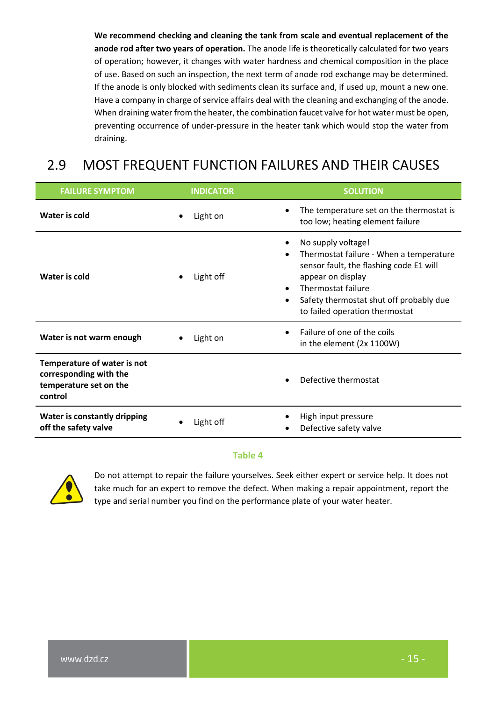**We recommend checking and cleaning the tank from scale and eventual replacement of the anode rod after two years of operation.** The anode life is theoretically calculated for two years of operation; however, it changes with water hardness and chemical composition in the place of use. Based on such an inspection, the next term of anode rod exchange may be determined. If the anode is only blocked with sediments clean its surface and, if used up, mount a new one. Have a company in charge of service affairs deal with the cleaning and exchanging of the anode. When draining water from the heater, the combination faucet valve for hot water must be open, preventing occurrence of under-pressure in the heater tank which would stop the water from draining.

## <span id="page-14-0"></span>2.9 MOST FREQUENT FUNCTION FAILURES AND THEIR CAUSES

| <b>FAILURE SYMPTOM</b>                                                                     | <b>INDICATOR</b>      | <b>SOLUTION</b>                                                                                                                                                                                                                               |
|--------------------------------------------------------------------------------------------|-----------------------|-----------------------------------------------------------------------------------------------------------------------------------------------------------------------------------------------------------------------------------------------|
| Water is cold                                                                              | Light on<br>$\bullet$ | The temperature set on the thermostat is<br>too low; heating element failure                                                                                                                                                                  |
| Water is cold                                                                              | Light off             | No supply voltage!<br>Thermostat failure - When a temperature<br>sensor fault, the flashing code E1 will<br>appear on display<br>Thermostat failure<br>$\bullet$<br>Safety thermostat shut off probably due<br>to failed operation thermostat |
| Water is not warm enough                                                                   | Light on              | Failure of one of the coils<br>in the element (2x 1100W)                                                                                                                                                                                      |
| Temperature of water is not<br>corresponding with the<br>temperature set on the<br>control |                       | Defective thermostat                                                                                                                                                                                                                          |
| <b>Water is constantly dripping</b><br>off the safety valve                                | Light off             | High input pressure<br>Defective safety valve                                                                                                                                                                                                 |

#### **Table 4**



Do not attempt to repair the failure yourselves. Seek either expert or service help. It does not take much for an expert to remove the defect. When making a repair appointment, report the type and serial number you find on the performance plate of your water heater.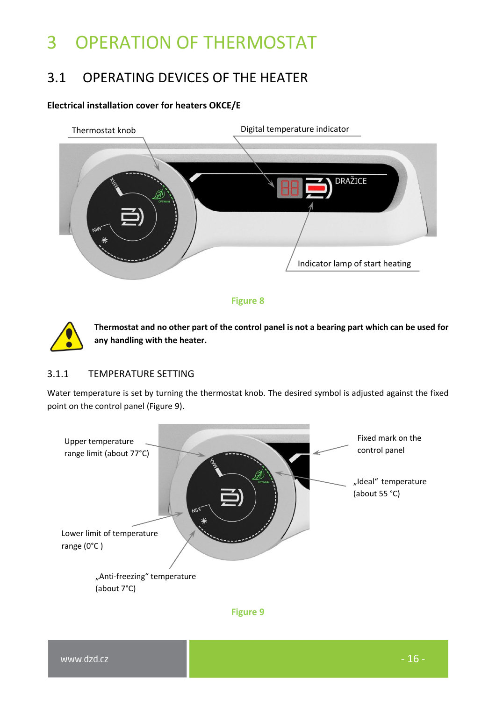## <span id="page-15-0"></span>3 OPERATION OF THERMOSTAT

## <span id="page-15-1"></span>3.1 OPERATING DEVICES OF THE HEATER

#### **Electrical installation cover for heaters OKCE/E**







**Thermostat and no other part of the control panel is not a bearing part which can be used for any handling with the heater.**

#### <span id="page-15-2"></span>3.1.1 TEMPERATURE SETTING

Water temperature is set by turning the thermostat knob. The desired symbol is adjusted against the fixed point on the control panel [\(Figure 9\)](#page-15-3).

<span id="page-15-3"></span>

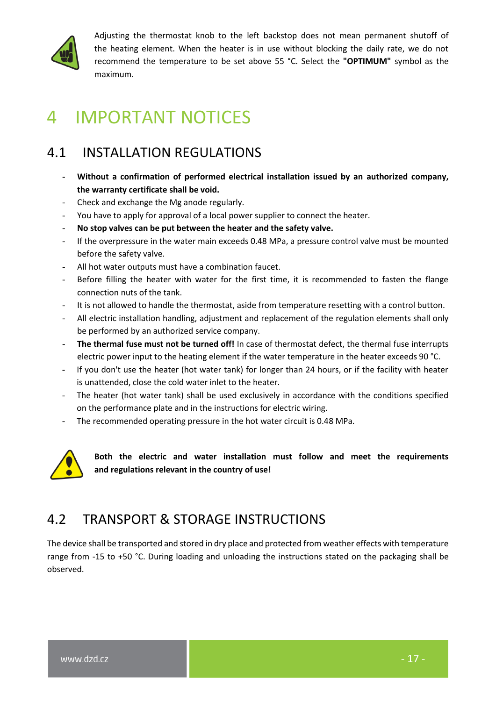

Adjusting the thermostat knob to the left backstop does not mean permanent shutoff of the heating element. When the heater is in use without blocking the daily rate, we do not recommend the temperature to be set above 55 °C. Select the **"OPTIMUM"** symbol as the maximum.

## <span id="page-16-0"></span>4 IMPORTANT NOTICES

## <span id="page-16-1"></span>4.1 INSTALLATION REGULATIONS

- **Without a confirmation of performed electrical installation issued by an authorized company, the warranty certificate shall be void.**
- Check and exchange the Mg anode regularly.
- You have to apply for approval of a local power supplier to connect the heater.
- **No stop valves can be put between the heater and the safety valve.**
- If the overpressure in the water main exceeds 0.48 MPa, a pressure control valve must be mounted before the safety valve.
- All hot water outputs must have a combination faucet.
- Before filling the heater with water for the first time, it is recommended to fasten the flange connection nuts of the tank.
- It is not allowed to handle the thermostat, aside from temperature resetting with a control button.
- All electric installation handling, adjustment and replacement of the regulation elements shall only be performed by an authorized service company.
- The thermal fuse must not be turned off! In case of thermostat defect, the thermal fuse interrupts electric power input to the heating element if the water temperature in the heater exceeds 90 °C.
- If you don't use the heater (hot water tank) for longer than 24 hours, or if the facility with heater is unattended, close the cold water inlet to the heater.
- The heater (hot water tank) shall be used exclusively in accordance with the conditions specified on the performance plate and in the instructions for electric wiring.
- The recommended operating pressure in the hot water circuit is 0.48 MPa.



**Both the electric and water installation must follow and meet the requirements and regulations relevant in the country of use!**

## <span id="page-16-2"></span>4.2 TRANSPORT & STORAGE INSTRUCTIONS

The device shall be transported and stored in dry place and protected from weather effects with temperature range from -15 to +50 °C. During loading and unloading the instructions stated on the packaging shall be observed.